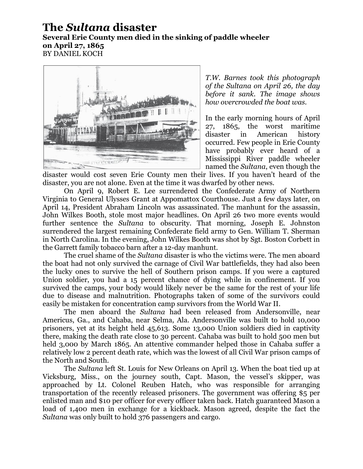## **The** *Sultana* **disaster**

## **Several Erie County men died in the sinking of paddle wheeler on April 27, 1865** BY DANIEL KOCH



*T.W. Barnes took this photograph of the Sultana on April 26, the day before it sank. The image shows how overcrowded the boat was.*

In the early morning hours of April 27, 1865, the worst maritime disaster in American history occurred. Few people in Erie County have probably ever heard of a Mississippi River paddle wheeler named the *Sultana*, even though the

disaster would cost seven Erie County men their lives. If you haven't heard of the disaster, you are not alone. Even at the time it was dwarfed by other news.

On April 9, Robert E. Lee surrendered the Confederate Army of Northern Virginia to General Ulysses Grant at Appomattox Courthouse. Just a few days later, on April 14, President Abraham Lincoln was assassinated. The manhunt for the assassin, John Wilkes Booth, stole most major headlines. On April 26 two more events would further sentence the *Sultana* to obscurity. That morning, Joseph E. Johnston surrendered the largest remaining Confederate field army to Gen. William T. Sherman in North Carolina. In the evening, John Wilkes Booth was shot by Sgt. Boston Corbett in the Garrett family tobacco barn after a 12-day manhunt.

The cruel shame of the *Sultana* disaster is who the victims were. The men aboard the boat had not only survived the carnage of Civil War battlefields, they had also been the lucky ones to survive the hell of Southern prison camps. If you were a captured Union soldier, you had a 15 percent chance of dying while in confinement. If you survived the camps, your body would likely never be the same for the rest of your life due to disease and malnutrition. Photographs taken of some of the survivors could easily be mistaken for concentration camp survivors from the World War II.

The men aboard the *Sultana* had been released from Andersonville, near Americus, Ga., and Cahaba, near Selma, Ala. Andersonville was built to hold 10,000 prisoners, yet at its height held 45,613. Some 13,000 Union soldiers died in captivity there, making the death rate close to 30 percent. Cahaba was built to hold 500 men but held 3,000 by March 1865. An attentive commander helped those in Cahaba suffer a relatively low 2 percent death rate, which was the lowest of all Civil War prison camps of the North and South.

The *Sultana* left St. Louis for New Orleans on April 13. When the boat tied up at Vicksburg, Miss., on the journey south, Capt. Mason, the vessel's skipper, was approached by Lt. Colonel Reuben Hatch, who was responsible for arranging transportation of the recently released prisoners. The government was offering \$5 per enlisted man and \$10 per officer for every officer taken back. Hatch guaranteed Mason a load of 1,400 men in exchange for a kickback. Mason agreed, despite the fact the *Sultana* was only built to hold 376 passengers and cargo.